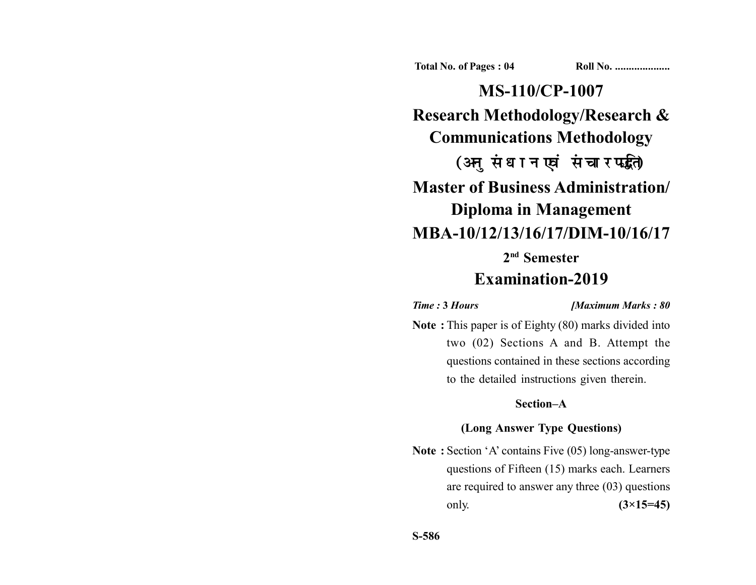**Total No. of Pages : 04 Roll No. ...................** 

**MS-110/CP-1007 Research Methodology/Research & Communications Methodology** (अनुसंधान एवं संचार पद्धति) **Master of Business Administration/ Diploma in Management MBA-10/12/13/16/17/DIM-10/16/17 2nd Semester**

# **Examination-2019**

*Time :* **3** *Hours [Maximum Marks : 80*

**Note :** This paper is of Eighty (80) marks divided into two (02) Sections A and B. Attempt the questions contained in these sections according to the detailed instructions given therein.

## **Section–A**

# **(Long Answer Type Questions)**

**Note :** Section 'A' contains Five (05) long-answer-type questions of Fifteen (15) marks each. Learners are required to answer any three (03) questions only. **(3×15=45)**